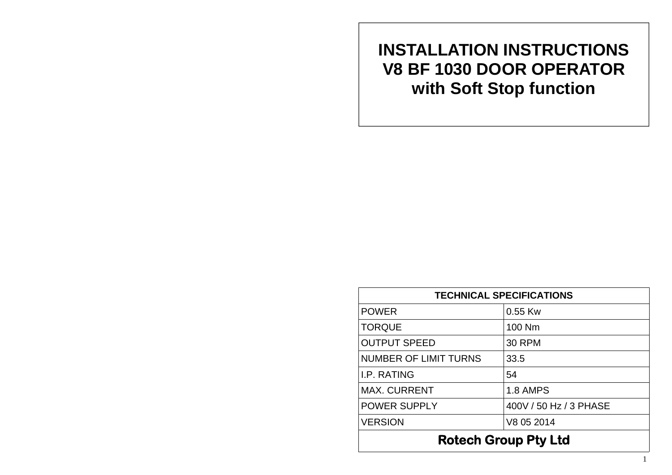**INSTALLATION INSTRUCTIONS V8 BF 1030 DOOR OPERATOR with Soft Stop function** 

| <b>TECHNICAL SPECIFICATIONS</b> |                        |
|---------------------------------|------------------------|
| <b>POWER</b>                    | $0.55$ Kw              |
| <b>TORQUE</b>                   | 100 Nm                 |
| <b>OUTPUT SPEED</b>             | <b>30 RPM</b>          |
| <b>NUMBER OF LIMIT TURNS</b>    | 33.5                   |
| <b>I.P. RATING</b>              | 54                     |
| <b>MAX. CURRENT</b>             | 1.8 AMPS               |
| <b>POWER SUPPLY</b>             | 400V / 50 Hz / 3 PHASE |
| <b>VERSION</b>                  | V8 05 2014             |
| <b>Rotech Group Pty Ltd</b>     |                        |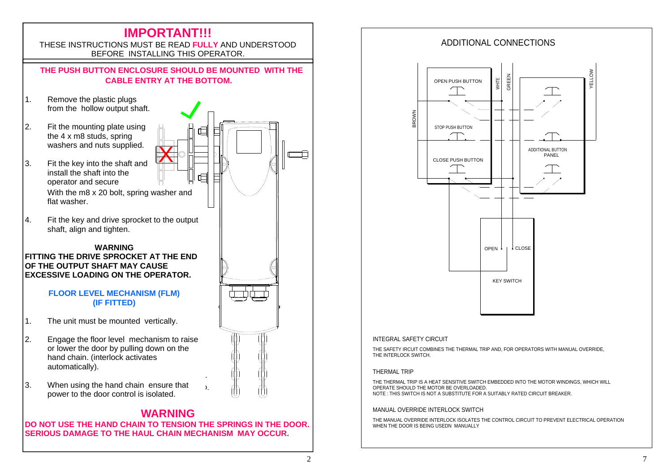

# ADDITIONAL CONNECTIONSOPEN PUSH BUTTONCLOSE PUSH BUTTON $\frac{1}{2}$ WHITE GREEN YELLOW KEY SWITCHOPEN<sup>1</sup> CLOSE ADDITIONAL BUTTON PANEL

### INTEGRAL SAFETY CIRCUIT

THE SAFETY IRCUIT COMBINES THE THERMAL TRIP AND, FOR OPERATORS WITH MANUAL OVERRIDE, THE INTERLOCK SWITCH

#### THERMAL TRIP

THE THERMAL TRIP IS A HEAT SENSITIVE SWITCH EMBEDDED INTO THE MOTOR WINDINGS, WHICH WILL OPERATE SHOULD THE MOTOR BE OVERLOADED. NOTE : THIS SWITCH IS NOT A SUBSTITUTE FOR A SUITABLY RATED CIRCUIT BREAKER.

### MANUAL OVERRIDE INTERLOCK SWITCH

THE MANUAL OVERRIDE INTERLOCK ISOLATES THE CONTROL CIRCUIT TO PREVENT ELECTRICAL OPERATION WHEN THE DOOR IS BEING USEDN MANUALLY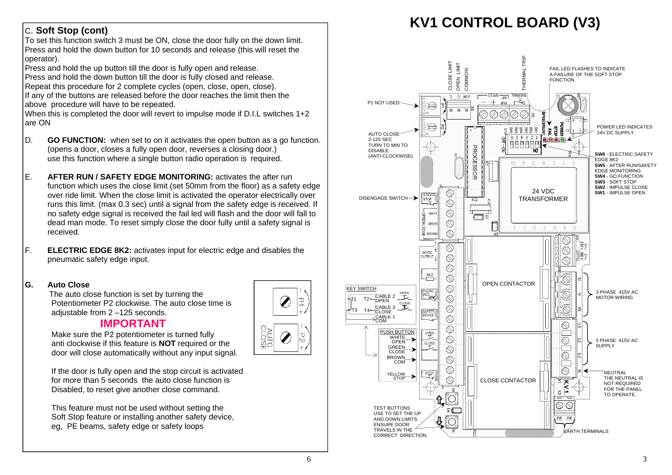## C. **Soft Stop (cont)**

To set this function switch 3 must be ON, close the door fully on the down limit. Press and hold the down button for 10 seconds and release (this will reset the operator).

Press and hold the up button till the door is fully open and release. Press and hold the down button till the door is fully closed and release. Repeat this procedure for 2 complete cycles (open, close, open, close). If any of the buttons are released before the door reaches the limit then the above procedure will have to be repeated.

When this is completed the door will revert to impulse mode if D.I.L switches 1+2 are ON

- D. **GO FUNCTION:** when set to on it activates the open button as a go function. (opens a door, closes a fully open door, reverses a closing door.) use this function where a single button radio operation is required.
- E. **AFTER RUN / SAFETY EDGE MONITORING:** activates the after run function which uses the close limit (set 50mm from the floor) as a safety edge over ride limit. When the close limit is activated the operator electrically over runs this limit. (max 0.3 sec) until a signal from the safety edge is received. If no safety edge signal is received the fail led will flash and the door will fall to dead man mode. To reset simply close the door fully until a safety signal is received.
- F. **ELECTRIC EDGE 8K2:** activates input for electric edge and disables the pneumatic safety edge input.

### **G. Auto Close**

 The auto close function is set by turning the Potentiometer P2 clockwise. The auto close time is adjustable from 2 –125 seconds.

## **IMPORTANT**

 Make sure the P2 potentiometer is turned fully anti clockwise if this feature is **NOT** required or the door will close automatically without any input signal.

 If the door is fully open and the stop circuit is activated for more than 5 seconds the auto close function is Disabled, to reset give another close command.

> This feature must not be used without setting the Soft Stop feature or installing another safety device, eg, PE beams, safety edge or safety loops



## **KV1 CONTROL BOARD (V3)**